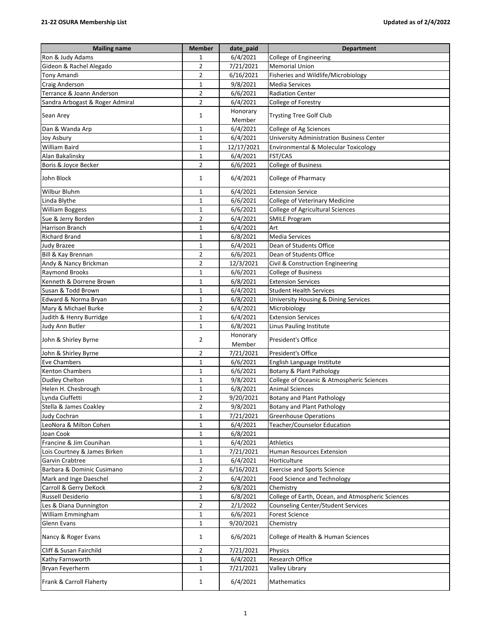| <b>Mailing name</b>             | <b>Member</b>  | date_paid          | <b>Department</b>                                 |
|---------------------------------|----------------|--------------------|---------------------------------------------------|
| Ron & Judy Adams                | 1              | 6/4/2021           | College of Engineering                            |
| Gideon & Rachel Alegado         | 2              | 7/21/2021          | <b>Memorial Union</b>                             |
| <b>Tony Amandi</b>              | 2              | 6/16/2021          | Fisheries and Wildlife/Microbiology               |
| <b>Craig Anderson</b>           | 1              | 9/8/2021           | Media Services                                    |
| Terrance & Joann Anderson       | $\overline{2}$ | 6/6/2021           | <b>Radiation Center</b>                           |
| Sandra Arbogast & Roger Admiral | 2              | 6/4/2021           | College of Forestry                               |
| Sean Arey                       | 1              | Honorary           | <b>Trysting Tree Golf Club</b>                    |
| Dan & Wanda Arp                 | 1              | Member<br>6/4/2021 | College of Ag Sciences                            |
| Joy Asbury                      | 1              | 6/4/2021           | University Administration Business Center         |
| <b>William Baird</b>            | 1              | 12/17/2021         | Environmental & Molecular Toxicology              |
| Alan Bakalinsky                 | 1              | 6/4/2021           | FST/CAS                                           |
| Boris & Joyce Becker            | $\overline{2}$ | 6/6/2021           | <b>College of Business</b>                        |
| John Block                      | 1              | 6/4/2021           | College of Pharmacy                               |
| <b>Wilbur Bluhm</b>             | 1              | 6/4/2021           | <b>Extension Service</b>                          |
| Linda Blythe                    | 1              | 6/6/2021           | College of Veterinary Medicine                    |
| <b>William Boggess</b>          | $\mathbf 1$    | 6/6/2021           | <b>College of Agricultural Sciences</b>           |
| Sue & Jerry Borden              | 2              | 6/4/2021           | <b>SMILE Program</b>                              |
| Harrison Branch                 | 1              | 6/4/2021           | Art                                               |
| <b>Richard Brand</b>            | 1              | 6/8/2021           | <b>Media Services</b>                             |
| <b>Judy Brazee</b>              | 1              | 6/4/2021           | Dean of Students Office                           |
| Bill & Kay Brennan              | $\overline{2}$ | 6/6/2021           | Dean of Students Office                           |
| Andy & Nancy Brickman           | $\overline{2}$ | 12/3/2021          | Civil & Construction Engineering                  |
| <b>Raymond Brooks</b>           | $\mathbf 1$    | 6/6/2021           | <b>College of Business</b>                        |
| Kenneth & Dorrene Brown         | 1              | 6/8/2021           | <b>Extension Services</b>                         |
| Susan & Todd Brown              | 1              | 6/4/2021           | <b>Student Health Services</b>                    |
| Edward & Norma Bryan            | 1              | 6/8/2021           | University Housing & Dining Services              |
| Mary & Michael Burke            | 2              | 6/4/2021           | Microbiology                                      |
| Judith & Henry Burridge         | 1              | 6/4/2021           | <b>Extension Services</b>                         |
| Judy Ann Butler                 | $\mathbf{1}$   | 6/8/2021           | Linus Pauling Institute                           |
| John & Shirley Byrne            | 2              | Honorary<br>Member | President's Office                                |
| John & Shirley Byrne            | $\overline{2}$ | 7/21/2021          | President's Office                                |
| <b>Eve Chambers</b>             | 1              | 6/6/2021           | English Language Institute                        |
| <b>Kenton Chambers</b>          | 1              | 6/6/2021           | Botany & Plant Pathology                          |
| <b>Dudley Chelton</b>           | 1              | 9/8/2021           | College of Oceanic & Atmospheric Sciences         |
| Helen H. Chesbrough             | 1              | 6/8/2021           | <b>Animal Sciences</b>                            |
| Lynda Ciuffetti                 | 2              | 9/20/2021          | Botany and Plant Pathology                        |
| Stella & James Coakley          | 2              | 9/8/2021           | Botany and Plant Pathology                        |
| <b>Judy Cochran</b>             | 1              | 7/21/2021          | <b>Greenhouse Operations</b>                      |
| LeoNora & Milton Cohen          | 1              | 6/4/2021           | <b>Teacher/Counselor Education</b>                |
| Joan Cook                       | 1              | 6/8/2021           |                                                   |
| Francine & Jim Counihan         | 1              | 6/4/2021           | Athletics                                         |
| Lois Courtney & James Birken    | 1              | 7/21/2021          | Human Resources Extension                         |
| Garvin Crabtree                 | 1              | 6/4/2021           | Horticulture                                      |
| Barbara & Dominic Cusimano      | 2              | 6/16/2021          | <b>Exercise and Sports Science</b>                |
| Mark and Inge Daeschel          | 2              | 6/4/2021           | Food Science and Technology                       |
| Carroll & Gerry DeKock          | 2              | 6/8/2021           | Chemistry                                         |
| <b>Russell Desiderio</b>        | 1              | 6/8/2021           | College of Earth, Ocean, and Atmospheric Sciences |
| Les & Diana Dunnington          | 2              | 2/1/2022           | Counseling Center/Student Services                |
| William Emmingham               | 1              | 6/6/2021           | <b>Forest Science</b>                             |
| Glenn Evans                     | 1              | 9/20/2021          | Chemistry                                         |
| Nancy & Roger Evans             | 1              | 6/6/2021           | College of Health & Human Sciences                |
| Cliff & Susan Fairchild         | 2              | 7/21/2021          | Physics                                           |
| Kathy Farnsworth                | 1              | 6/4/2021           | Research Office                                   |
| Bryan Feyerherm                 | 1              | 7/21/2021          | Valley Library                                    |
| Frank & Carroll Flaherty        | 1              | 6/4/2021           | Mathematics                                       |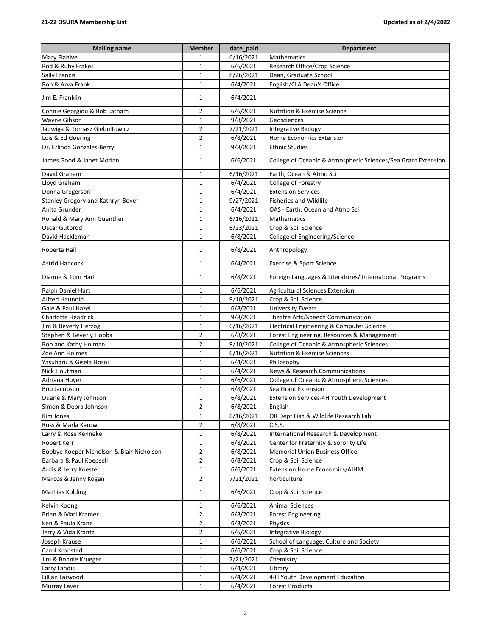| <b>Mailing name</b>                       | <b>Member</b>  | date_paid | <b>Department</b>                                             |
|-------------------------------------------|----------------|-----------|---------------------------------------------------------------|
| Mary Flahive                              | 1              | 6/16/2021 | Mathematics                                                   |
| Rod & Ruby Frakes                         | $\mathbf 1$    | 6/6/2021  | Research Office/Crop Science                                  |
| Sally Francis                             | $\mathbf 1$    | 8/26/2021 | Dean, Graduate School                                         |
| Rob & Arva Frank                          | $\mathbf{1}$   | 6/4/2021  | English/CLA Dean's Office                                     |
| Jim E. Franklin                           | 1              | 6/4/2021  |                                                               |
| Connie Georgiou & Bob Latham              | 2              | 6/6/2021  | <b>Nutrition &amp; Exercise Science</b>                       |
| Wayne Gibson                              | $\mathbf{1}$   | 9/8/2021  | Geosciences                                                   |
| Jadwiga & Tomasz Giebultowicz             | $\overline{2}$ | 7/21/2021 | <b>Integrative Biology</b>                                    |
| Lois & Ed Goering                         | $\overline{2}$ | 6/8/2021  | <b>Home Economics Extension</b>                               |
| Dr. Erlinda Gonzales-Berry                | $\mathbf{1}$   | 9/8/2021  | <b>Ethnic Studies</b>                                         |
| James Good & Janet Morlan                 | $\mathbf{1}$   | 6/6/2021  | College of Oceanic & Atmospheric Sciences/Sea Grant Extension |
| David Graham                              | 1              | 6/16/2021 | Earth, Ocean & Atmo Sci                                       |
| Lloyd Graham                              | $\mathbf{1}$   | 6/4/2021  | College of Forestry                                           |
| Donna Gregerson                           | $\mathbf{1}$   | 6/4/2021  | <b>Extension Services</b>                                     |
| Stanley Gregory and Kathryn Boyer         | $\mathbf 1$    | 9/27/2021 | <b>Fisheries and Wildlife</b>                                 |
| Anita Grunder                             | $\mathbf 1$    | 6/4/2021  | OAS - Earth, Ocean and Atmo Sci                               |
| Ronald & Mary Ann Guenther                | $\mathbf{1}$   | 6/16/2021 | <b>Mathematics</b>                                            |
| Oscar Gutbrod                             | $\mathbf{1}$   | 6/23/2021 | Crop & Soil Science                                           |
| David Hackleman                           | 1              | 6/8/2021  | College of Engineering/Science                                |
| Roberta Hall                              | 1              | 6/8/2021  | Anthropology                                                  |
| <b>Astrid Hancock</b>                     | 1              | 6/4/2021  | Exercise & Sport Science                                      |
| Dianne & Tom Hart                         | $\mathbf{1}$   | 6/8/2021  | Foreign Languages & Literatures/ International Programs       |
| Ralph Daniel Hart                         | 1              | 6/6/2021  | <b>Agricultural Sciences Extension</b>                        |
| <b>Alfred Haunold</b>                     | $\mathbf{1}$   | 9/10/2021 | Crop & Soil Science                                           |
| Gale & Paul Hazel                         | $\mathbf{1}$   | 6/8/2021  | <b>University Events</b>                                      |
| Charlotte Headrick                        | $\mathbf 1$    | 9/8/2021  | Theatre Arts/Speech Communication                             |
| Jim & Beverly Herzog                      | $\mathbf{1}$   | 6/16/2021 | Electrical Engineering & Computer Science                     |
| Stephen & Beverly Hobbs                   | $\mathbf 2$    | 6/8/2021  | Forest Engineering, Resources & Management                    |
| Rob and Kathy Holman                      | $\overline{2}$ | 9/10/2021 | College of Oceanic & Atmospheric Sciences                     |
| Zoe Ann Holmes                            | 1              | 6/16/2021 | <b>Nutrition &amp; Exercise Sciences</b>                      |
| Yasuharu & Gisela Hosoi                   | $\mathbf{1}$   | 6/4/2021  | Philosophy                                                    |
| Nick Houtman                              | $\mathbf{1}$   | 6/4/2021  | News & Research Communications                                |
| Adriana Huyer                             | $\mathbf 1$    | 6/6/2021  | College of Oceanic & Atmospheric Sciences                     |
| Bob Jacobson                              | $\mathbf 1$    | 6/8/2021  | Sea Grant Extension                                           |
| Duane & Mary Johnson                      | $\mathbf{1}$   | 6/8/2021  | Extension Services-4H Youth Development                       |
| Simon & Debra Johnson                     | 2              | 6/8/2021  | English                                                       |
| Kim Jones                                 | $\mathbf{1}$   | 6/16/2021 | OR Dept Fish & Wildlife Research Lab                          |
| Russ & Marla Karow                        | 2              | 6/8/2021  | C.S.S.                                                        |
| Larry & Rose Kenneke                      | 1              | 6/8/2021  | International Research & Development                          |
| Robert Kerr                               | $\mathbf{1}$   | 6/8/2021  | Center for Fraternity & Sorority Life                         |
| Bobbye Koeper Nicholson & Blair Nicholson | $\overline{2}$ | 6/8/2021  | <b>Memorial Union Business Office</b>                         |
| Barbara & Paul Koepsell                   | $\overline{2}$ | 6/8/2021  | Crop & Soil Science                                           |
| Ardis & Jerry Koester                     | $\mathbf{1}$   | 6/6/2021  | <b>Extension Home Economics/AIHM</b>                          |
| Marcos & Jenny Kogan                      | $\overline{2}$ | 7/21/2021 | horticulture                                                  |
| Mathias Kolding                           | 1              | 6/6/2021  | Crop & Soil Science                                           |
| Kelvin Koong                              | 1              | 6/6/2021  | <b>Animal Sciences</b>                                        |
|                                           | $\overline{2}$ | 6/8/2021  |                                                               |
| Brian & Mari Kramer<br>Ken & Paula Krane  | $\overline{2}$ | 6/8/2021  | <b>Forest Engineering</b><br>Physics                          |
| Jerry & Vida Krantz                       | $\overline{2}$ | 6/6/2021  | <b>Integrative Biology</b>                                    |
| Joseph Krause                             | $\mathbf{1}$   | 6/6/2021  | School of Language, Culture and Society                       |
| Carol Kronstad                            | 1              | 6/6/2021  | Crop & Soil Science                                           |
| Jim & Bonnie Krueger                      | 1              | 7/21/2021 | Chemistry                                                     |
| Larry Landis                              | $\mathbf{1}$   | 6/4/2021  |                                                               |
| Lillian Larwood                           | $\mathbf{1}$   | 6/4/2021  | Library<br>4-H Youth Development Education                    |
|                                           | $\mathbf{1}$   |           |                                                               |
| Murray Laver                              |                | 6/4/2021  | <b>Forest Products</b>                                        |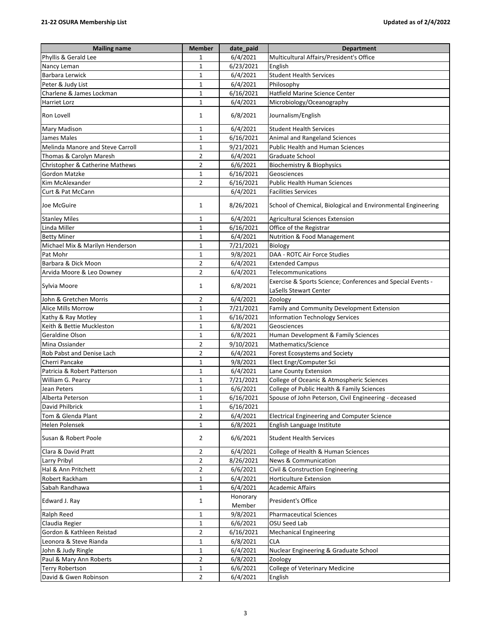| <b>Mailing name</b>              | <b>Member</b>  | date_paid          | <b>Department</b>                                                                     |
|----------------------------------|----------------|--------------------|---------------------------------------------------------------------------------------|
| Phyllis & Gerald Lee             | 1              | 6/4/2021           | Multicultural Affairs/President's Office                                              |
| Nancy Leman                      | $\mathbf 1$    | 6/23/2021          | English                                                                               |
| Barbara Lerwick                  | $\mathbf 1$    | 6/4/2021           | <b>Student Health Services</b>                                                        |
| Peter & Judy List                | $\mathbf{1}$   | 6/4/2021           | Philosophy                                                                            |
| Charlene & James Lockman         | $\mathbf{1}$   | 6/16/2021          | Hatfield Marine Science Center                                                        |
| Harriet Lorz                     | 1              | 6/4/2021           | Microbiology/Oceanography                                                             |
| Ron Lovell                       | 1              | 6/8/2021           | Journalism/English                                                                    |
| <b>Mary Madison</b>              | $\mathbf{1}$   | 6/4/2021           | <b>Student Health Services</b>                                                        |
| James Males                      | $\mathbf 1$    | 6/16/2021          | Animal and Rangeland Sciences                                                         |
| Melinda Manore and Steve Carroll | $\mathbf{1}$   | 9/21/2021          | <b>Public Health and Human Sciences</b>                                               |
| Thomas & Carolyn Maresh          | $\overline{2}$ | 6/4/2021           | Graduate School                                                                       |
| Christopher & Catherine Mathews  | 2              | 6/6/2021           | Biochemistry & Biophysics                                                             |
| Gordon Matzke                    | 1              | 6/16/2021          | Geosciences                                                                           |
| Kim McAlexander                  | $\overline{2}$ | 6/16/2021          | Public Health Human Sciences                                                          |
| Curt & Pat McCann                |                | 6/4/2021           | <b>Facilities Services</b>                                                            |
| Joe McGuire                      | 1              | 8/26/2021          | School of Chemical, Biological and Environmental Engineering                          |
| <b>Stanley Miles</b>             | 1              | 6/4/2021           | <b>Agricultural Sciences Extension</b>                                                |
| Linda Miller                     | $\mathbf{1}$   | 6/16/2021          | Office of the Registrar                                                               |
| <b>Betty Miner</b>               | $\mathbf{1}$   | 6/4/2021           | Nutrition & Food Management                                                           |
| Michael Mix & Marilyn Henderson  | $\mathbf{1}$   | 7/21/2021          | <b>Biology</b>                                                                        |
| Pat Mohr                         | $\mathbf{1}$   | 9/8/2021           | DAA - ROTC Air Force Studies                                                          |
| Barbara & Dick Moon              | $\overline{2}$ | 6/4/2021           | <b>Extended Campus</b>                                                                |
| Arvida Moore & Leo Downey        | $\overline{2}$ | 6/4/2021           | Telecommunications                                                                    |
| Sylvia Moore                     | 1              | 6/8/2021           | Exercise & Sports Science; Conferences and Special Events -<br>LaSells Stewart Center |
| John & Gretchen Morris           | 2              | 6/4/2021           | Zoology                                                                               |
| Alice Mills Morrow               | $\mathbf{1}$   | 7/21/2021          | Family and Community Development Extension                                            |
| Kathy & Ray Motley               | $\mathbf{1}$   | 6/16/2021          | <b>Information Technology Services</b>                                                |
| Keith & Bettie Muckleston        | $\mathbf{1}$   | 6/8/2021           | Geosciences                                                                           |
| Geraldine Olson                  | $\mathbf{1}$   | 6/8/2021           | Human Development & Family Sciences                                                   |
| Mina Ossiander                   | $\overline{2}$ | 9/10/2021          | Mathematics/Science                                                                   |
| Rob Pabst and Denise Lach        | $\overline{2}$ | 6/4/2021           | Forest Ecosystems and Society                                                         |
| Cherri Pancake                   | 1              | 9/8/2021           | Elect Engr/Computer Sci                                                               |
| Patricia & Robert Patterson      | $\mathbf{1}$   | 6/4/2021           | Lane County Extension                                                                 |
| William G. Pearcy                | $\mathbf{1}$   | 7/21/2021          | College of Oceanic & Atmospheric Sciences                                             |
| Jean Peters                      | $\mathbf 1$    | 6/6/2021           | College of Public Health & Family Sciences                                            |
| Alberta Peterson                 | $\mathbf{1}$   | 6/16/2021          | Spouse of John Peterson, Civil Engineering - deceased                                 |
| David Philbrick                  | 1              | 6/16/2021          |                                                                                       |
| Tom & Glenda Plant               | $\overline{2}$ | 6/4/2021           | <b>Electrical Engineering and Computer Science</b>                                    |
| Helen Polensek                   | 1              | 6/8/2021           | English Language Institute                                                            |
| Susan & Robert Poole             | 2              | 6/6/2021           | <b>Student Health Services</b>                                                        |
| Clara & David Pratt              | 2              | 6/4/2021           | College of Health & Human Sciences                                                    |
| Larry Pribyl                     | $\overline{2}$ | 8/26/2021          | <b>News &amp; Communication</b>                                                       |
| Hal & Ann Pritchett              | $\overline{2}$ | 6/6/2021           | Civil & Construction Engineering                                                      |
| Robert Rackham                   | 1              | 6/4/2021           | <b>Horticulture Extension</b>                                                         |
| Sabah Randhawa                   | 1              | 6/4/2021           | <b>Academic Affairs</b>                                                               |
| Edward J. Ray                    | 1              | Honorary<br>Member | President's Office                                                                    |
| Ralph Reed                       | 1              | 9/8/2021           | <b>Pharmaceutical Sciences</b>                                                        |
| Claudia Regier                   | $\mathbf 1$    | 6/6/2021           | OSU Seed Lab                                                                          |
| Gordon & Kathleen Reistad        | $\overline{2}$ | 6/16/2021          | <b>Mechanical Engineering</b>                                                         |
| Leonora & Steve Rianda           | $\mathbf{1}$   | 6/8/2021           | <b>CLA</b>                                                                            |
| John & Judy Ringle               | 1              | 6/4/2021           | Nuclear Engineering & Graduate School                                                 |
| Paul & Mary Ann Roberts          | 2              | 6/8/2021           | Zoology                                                                               |
| <b>Terry Robertson</b>           | 1              | 6/6/2021           | College of Veterinary Medicine                                                        |
| David & Gwen Robinson            | $\overline{2}$ | 6/4/2021           | English                                                                               |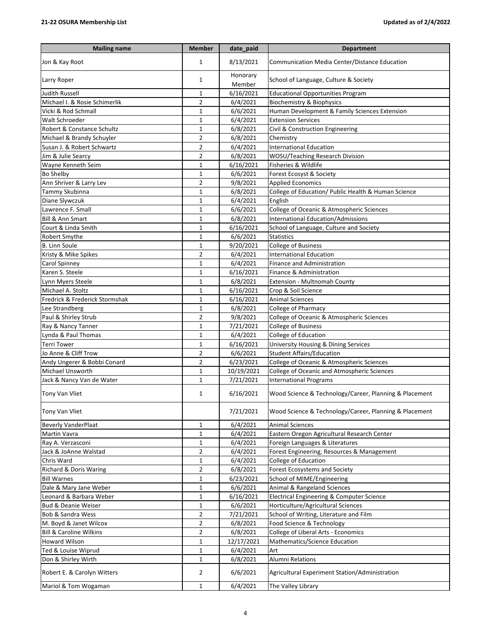## **21-22 OSURA Membership List Updated as of 2/4/2022**

| <b>Mailing name</b>                | <b>Member</b>  | date_paid          | <b>Department</b>                                      |
|------------------------------------|----------------|--------------------|--------------------------------------------------------|
| Jon & Kay Root                     | 1              | 8/13/2021          | Communication Media Center/Distance Education          |
| Larry Roper                        | 1              | Honorary<br>Member | School of Language, Culture & Society                  |
| <b>Judith Russell</b>              | 1              | 6/16/2021          | <b>Educational Opportunities Program</b>               |
| Michael I. & Rosie Schimerlik      | $\overline{2}$ | 6/4/2021           | <b>Biochemistry &amp; Biophysics</b>                   |
| Vicki & Rod Schmall                | 1              | 6/6/2021           | Human Development & Family Sciences Extension          |
| Walt Schroeder                     | $\mathbf{1}$   | 6/4/2021           | <b>Extension Services</b>                              |
| Robert & Constance Schultz         | $\mathbf{1}$   | 6/8/2021           | Civil & Construction Engineering                       |
| Michael & Brandy Schuyler          | $\overline{2}$ | 6/8/2021           | Chemistry                                              |
| Susan J. & Robert Schwartz         | $\overline{2}$ | 6/4/2021           | <b>International Education</b>                         |
| Jim & Julie Searcy                 | $\overline{2}$ | 6/8/2021           | WOSU/Teaching Research Division                        |
| Wayne Kenneth Seim                 | 1              | 6/16/2021          | Fisheries & Wildlife                                   |
| Bo Shelby                          | $\mathbf{1}$   | 6/6/2021           | Forest Ecosyst & Society                               |
| Ann Shriver & Larry Lev            | $\overline{2}$ | 9/8/2021           | <b>Applied Economics</b>                               |
| Tammy Skubinna                     | $\mathbf 1$    | 6/8/2021           | College of Education/ Public Health & Human Science    |
| Diane Slywczuk                     | $\mathbf{1}$   | 6/4/2021           | English                                                |
| Lawrence F. Small                  | $\mathbf{1}$   | 6/6/2021           | College of Oceanic & Atmospheric Sciences              |
| <b>Bill &amp; Ann Smart</b>        | $\mathbf{1}$   | 6/8/2021           | International Education/Admissions                     |
| Court & Linda Smith                | 1              | 6/16/2021          | School of Language, Culture and Society                |
| Robert Smythe                      | 1              | 6/6/2021           | <b>Statistics</b>                                      |
| <b>B. Linn Soule</b>               | $\mathbf{1}$   | 9/20/2021          | <b>College of Business</b>                             |
| Kristy & Mike Spikes               | $\overline{2}$ | 6/4/2021           | <b>International Education</b>                         |
| Carol Spinney                      | $\mathbf{1}$   | 6/4/2021           | <b>Finance and Administration</b>                      |
| Karen S. Steele                    | $\mathbf{1}$   | 6/16/2021          | Finance & Administration                               |
| Lynn Myers Steele                  | 1              | 6/8/2021           | Extension - Multnomah County                           |
| Michael A. Stoltz                  | 1              | 6/16/2021          | Crop & Soil Science                                    |
| Fredrick & Frederick Stormshak     | 1              | 6/16/2021          | <b>Animal Sciences</b>                                 |
| Lee Strandberg                     | $\mathbf{1}$   | 6/8/2021           | College of Pharmacy                                    |
| Paul & Shirley Strub               | $\overline{2}$ | 9/8/2021           | College of Oceanic & Atmospheric Sciences              |
| Ray & Nancy Tanner                 | $\mathbf{1}$   | 7/21/2021          | <b>College of Business</b>                             |
| Lynda & Paul Thomas                | $\mathbf{1}$   | 6/4/2021           | College of Education                                   |
| <b>Terri Tower</b>                 | $\mathbf{1}$   | 6/16/2021          | <b>University Housing &amp; Dining Services</b>        |
| Jo Anne & Cliff Trow               | $\overline{2}$ | 6/6/2021           | <b>Student Affairs/Education</b>                       |
| Andy Ungerer & Bobbi Conard        | $\overline{2}$ | 6/23/2021          | College of Oceanic & Atmospheric Sciences              |
| Michael Unsworth                   | $\mathbf{1}$   | 10/19/2021         | College of Oceanic and Atmospheric Sciences            |
| Jack & Nancy Van de Water          | $\mathbf{1}$   | 7/21/2021          | <b>International Programs</b>                          |
| <b>Tony Van Vliet</b>              | 1              | 6/16/2021          | Wood Science & Technology/Career, Planning & Placement |
| Tony Van Vliet                     |                | 7/21/2021          | Wood Science & Technology/Career, Planning & Placement |
| <b>Beverly VanderPlaat</b>         | 1              | 6/4/2021           | <b>Animal Sciences</b>                                 |
| Martin Vavra                       | 1              | 6/4/2021           | Eastern Oregon Agricultural Research Center            |
| Ray A. Verzasconi                  | 1              | 6/4/2021           | Foreign Languages & Literatures                        |
| Jack & JoAnne Walstad              | $\overline{2}$ | 6/4/2021           | Forest Engineering, Resources & Management             |
| Chris Ward                         | $\mathbf{1}$   | 6/4/2021           | College of Education                                   |
| Richard & Doris Waring             | 2              | 6/8/2021           | <b>Forest Ecosystems and Society</b>                   |
| <b>Bill Warnes</b>                 | 1              | 6/23/2021          | School of MIME/Engineering                             |
| Dale & Mary Jane Weber             | 1              | 6/6/2021           | Animal & Rangeland Sciences                            |
| Leonard & Barbara Weber            | 1              | 6/16/2021          | Electrical Engineering & Computer Science              |
| <b>Bud &amp; Deanie Weiser</b>     | $\mathbf{1}$   | 6/6/2021           | Horticulture/Agricultural Sciences                     |
| Bob & Sandra Wess                  | $\mathbf 2$    | 7/21/2021          | School of Writing, Literature and Film                 |
| M. Boyd & Janet Wilcox             | $\mathbf 2$    | 6/8/2021           | Food Science & Technology                              |
| <b>Bill &amp; Caroline Wilkins</b> | 2              | 6/8/2021           | College of Liberal Arts - Economics                    |
| <b>Howard Wilson</b>               | 1              | 12/17/2021         | Mathematics/Science Education                          |
| Ted & Louise Wiprud                | 1              | 6/4/2021           | Art                                                    |
| Don & Shirley Wirth                | 1              | 6/8/2021           | <b>Alumni Relations</b>                                |
| Robert E. & Carolyn Witters        | $\overline{2}$ | 6/6/2021           | Agricultural Experiment Station/Administration         |
| Mariol & Tom Wogaman               | $\mathbf{1}$   | 6/4/2021           | The Valley Library                                     |